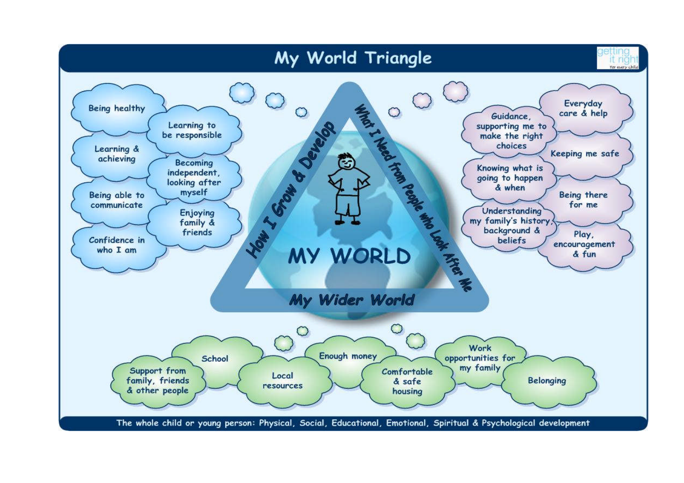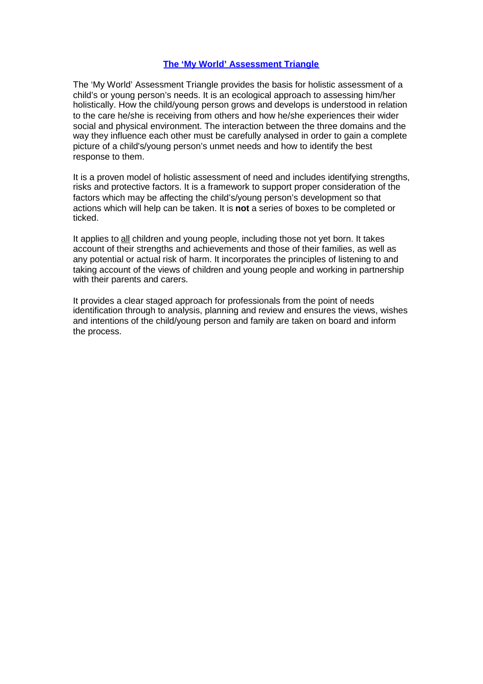## **The 'My World' Assessment Triangle**

The 'My World' Assessment Triangle provides the basis for holistic assessment of a child's or young person's needs. It is an ecological approach to assessing him/her holistically. How the child/young person grows and develops is understood in relation to the care he/she is receiving from others and how he/she experiences their wider social and physical environment. The interaction between the three domains and the way they influence each other must be carefully analysed in order to gain a complete picture of a child's/young person's unmet needs and how to identify the best response to them.

It is a proven model of holistic assessment of need and includes identifying strengths, risks and protective factors. It is a framework to support proper consideration of the factors which may be affecting the child's/young person's development so that actions which will help can be taken. It is **not** a series of boxes to be completed or ticked.

It applies to all children and young people, including those not yet born. It takes account of their strengths and achievements and those of their families, as well as any potential or actual risk of harm. It incorporates the principles of listening to and taking account of the views of children and young people and working in partnership with their parents and carers.

It provides a clear staged approach for professionals from the point of needs identification through to analysis, planning and review and ensures the views, wishes and intentions of the child/young person and family are taken on board and inform the process.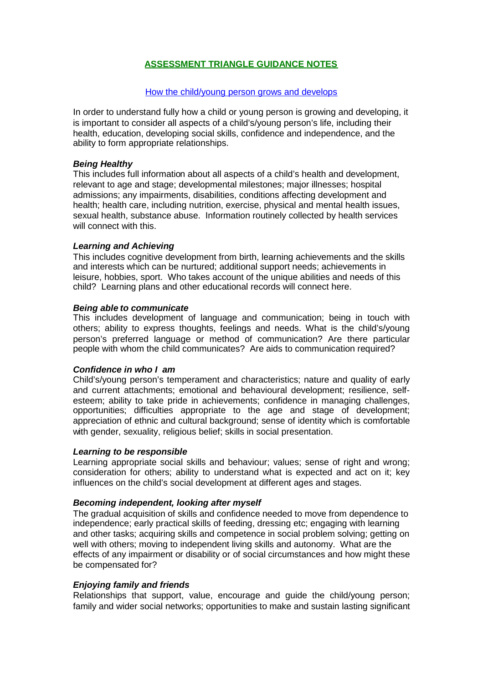# **ASSESSMENT TRIANGLE GUIDANCE NOTES**

## How the child/young person grows and develops

In order to understand fully how a child or young person is growing and developing, it is important to consider all aspects of a child's/young person's life, including their health, education, developing social skills, confidence and independence, and the ability to form appropriate relationships.

## *Being Healthy*

This includes full information about all aspects of a child's health and development, relevant to age and stage; developmental milestones; major illnesses; hospital admissions; any impairments, disabilities, conditions affecting development and health; health care, including nutrition, exercise, physical and mental health issues, sexual health, substance abuse. Information routinely collected by health services will connect with this.

## *Learning and Achieving*

This includes cognitive development from birth, learning achievements and the skills and interests which can be nurtured; additional support needs; achievements in leisure, hobbies, sport. Who takes account of the unique abilities and needs of this child? Learning plans and other educational records will connect here.

## *Being able to communicate*

This includes development of language and communication; being in touch with others; ability to express thoughts, feelings and needs. What is the child's/young person's preferred language or method of communication? Are there particular people with whom the child communicates? Are aids to communication required?

## *Confidence in who I am*

Child's/young person's temperament and characteristics; nature and quality of early and current attachments; emotional and behavioural development; resilience, selfesteem; ability to take pride in achievements; confidence in managing challenges, opportunities; difficulties appropriate to the age and stage of development; appreciation of ethnic and cultural background; sense of identity which is comfortable with gender, sexuality, religious belief; skills in social presentation.

#### *Learning to be responsible*

Learning appropriate social skills and behaviour; values; sense of right and wrong; consideration for others; ability to understand what is expected and act on it; key influences on the child's social development at different ages and stages.

#### *Becoming independent, looking after myself*

The gradual acquisition of skills and confidence needed to move from dependence to independence; early practical skills of feeding, dressing etc; engaging with learning and other tasks; acquiring skills and competence in social problem solving; getting on well with others; moving to independent living skills and autonomy. What are the effects of any impairment or disability or of social circumstances and how might these be compensated for?

## *Enjoying family and friends*

Relationships that support, value, encourage and guide the child/young person; family and wider social networks; opportunities to make and sustain lasting significant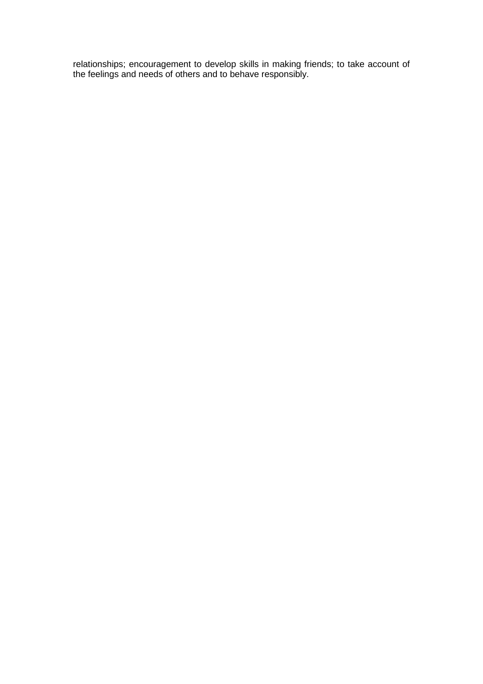relationships; encouragement to develop skills in making friends; to take account of the feelings and needs of others and to behave responsibly.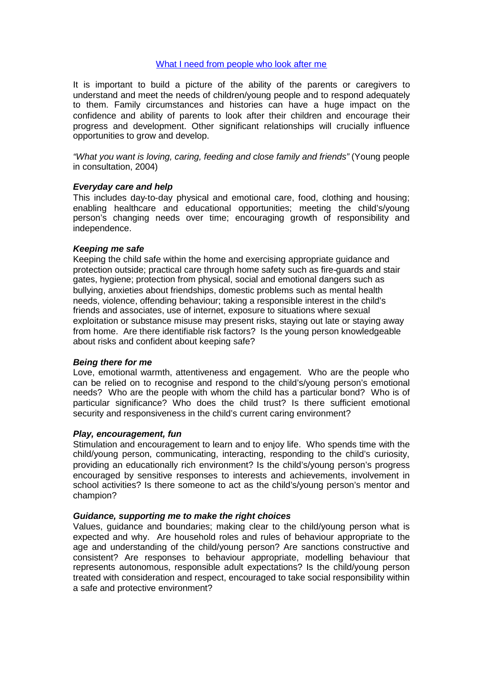## What I need from people who look after me

It is important to build a picture of the ability of the parents or caregivers to understand and meet the needs of children/young people and to respond adequately to them. Family circumstances and histories can have a huge impact on the confidence and ability of parents to look after their children and encourage their progress and development. Other significant relationships will crucially influence opportunities to grow and develop.

*"What you want is loving, caring, feeding and close family and friends"* (Young people in consultation, 2004)

## *Everyday care and help*

This includes day-to-day physical and emotional care, food, clothing and housing; enabling healthcare and educational opportunities; meeting the child's/young person's changing needs over time; encouraging growth of responsibility and independence.

#### *Keeping me safe*

Keeping the child safe within the home and exercising appropriate guidance and protection outside; practical care through home safety such as fire-guards and stair gates, hygiene; protection from physical, social and emotional dangers such as bullying, anxieties about friendships, domestic problems such as mental health needs, violence, offending behaviour; taking a responsible interest in the child's friends and associates, use of internet, exposure to situations where sexual exploitation or substance misuse may present risks, staying out late or staying away from home. Are there identifiable risk factors? Is the young person knowledgeable about risks and confident about keeping safe?

#### *Being there for me*

Love, emotional warmth, attentiveness and engagement. Who are the people who can be relied on to recognise and respond to the child's/young person's emotional needs? Who are the people with whom the child has a particular bond? Who is of particular significance? Who does the child trust? Is there sufficient emotional security and responsiveness in the child's current caring environment?

#### *Play, encouragement, fun*

Stimulation and encouragement to learn and to enjoy life. Who spends time with the child/young person, communicating, interacting, responding to the child's curiosity, providing an educationally rich environment? Is the child's/young person's progress encouraged by sensitive responses to interests and achievements, involvement in school activities? Is there someone to act as the child's/young person's mentor and champion?

#### *Guidance, supporting me to make the right choices*

Values, guidance and boundaries; making clear to the child/young person what is expected and why. Are household roles and rules of behaviour appropriate to the age and understanding of the child/young person? Are sanctions constructive and consistent? Are responses to behaviour appropriate, modelling behaviour that represents autonomous, responsible adult expectations? Is the child/young person treated with consideration and respect, encouraged to take social responsibility within a safe and protective environment?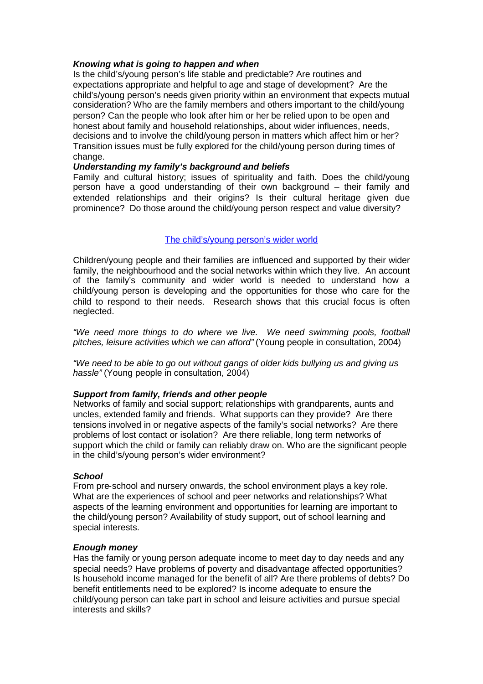## *Knowing what is going to happen and when*

Is the child's/young person's life stable and predictable? Are routines and expectations appropriate and helpful to age and stage of development? Are the child's/young person's needs given priority within an environment that expects mutual consideration? Who are the family members and others important to the child/young person? Can the people who look after him or her be relied upon to be open and honest about family and household relationships, about wider influences, needs, decisions and to involve the child/young person in matters which affect him or her? Transition issues must be fully explored for the child/young person during times of change.

## *Understanding my family's background and beliefs*

Family and cultural history; issues of spirituality and faith. Does the child/young person have a good understanding of their own background – their family and extended relationships and their origins? Is their cultural heritage given due prominence? Do those around the child/young person respect and value diversity?

## The child's/young person's wider world

Children/young people and their families are influenced and supported by their wider family, the neighbourhood and the social networks within which they live. An account of the family's community and wider world is needed to understand how a child/young person is developing and the opportunities for those who care for the child to respond to their needs. Research shows that this crucial focus is often neglected.

*"We need more things to do where we live. We need swimming pools, football pitches, leisure activities which we can afford"* (Young people in consultation, 2004)

*"We need to be able to go out without gangs of older kids bullying us and giving us hassle"* (Young people in consultation, 2004)

#### *Support from family, friends and other people*

Networks of family and social support; relationships with grandparents, aunts and uncles, extended family and friends. What supports can they provide? Are there tensions involved in or negative aspects of the family's social networks? Are there problems of lost contact or isolation? Are there reliable, long term networks of support which the child or family can reliably draw on. Who are the significant people in the child's/young person's wider environment?

#### *School*

From pre-school and nursery onwards, the school environment plays a key role. What are the experiences of school and peer networks and relationships? What aspects of the learning environment and opportunities for learning are important to the child/young person? Availability of study support, out of school learning and special interests.

#### *Enough money*

Has the family or young person adequate income to meet day to day needs and any special needs? Have problems of poverty and disadvantage affected opportunities? Is household income managed for the benefit of all? Are there problems of debts? Do benefit entitlements need to be explored? Is income adequate to ensure the child/young person can take part in school and leisure activities and pursue special interests and skills?